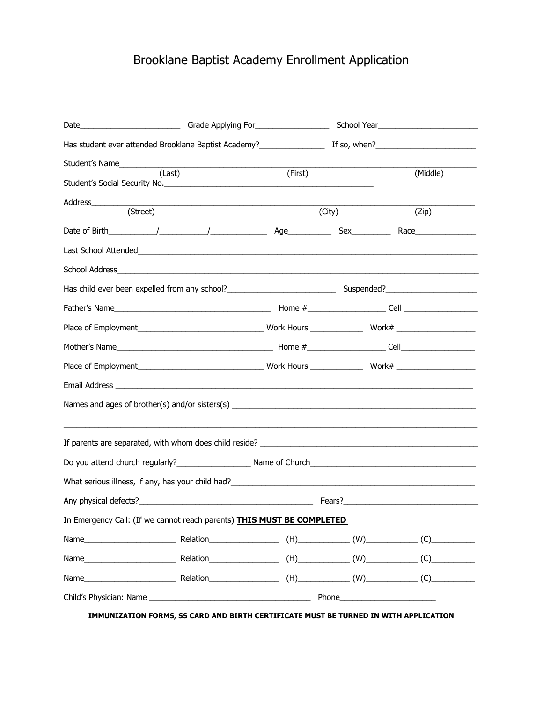## Brooklane Baptist Academy Enrollment Application

|                                                                                                                                                                                                                                | Date_______________________________Grade Applying For______________________School Year________________________ |         |        |          |  |
|--------------------------------------------------------------------------------------------------------------------------------------------------------------------------------------------------------------------------------|----------------------------------------------------------------------------------------------------------------|---------|--------|----------|--|
|                                                                                                                                                                                                                                |                                                                                                                |         |        |          |  |
| Student's Name<br>(Last)<br>Student's Social Security No. 2008 Contract and Contract of the Social Security No.                                                                                                                |                                                                                                                | (First) |        | (Middle) |  |
| Address and the contract of the contract of the contract of the contract of the contract of the contract of the contract of the contract of the contract of the contract of the contract of the contract of the contract of th |                                                                                                                |         |        |          |  |
| (Street)                                                                                                                                                                                                                       |                                                                                                                |         | (City) | (Zip)    |  |
|                                                                                                                                                                                                                                |                                                                                                                |         |        |          |  |
|                                                                                                                                                                                                                                |                                                                                                                |         |        |          |  |
|                                                                                                                                                                                                                                |                                                                                                                |         |        |          |  |
|                                                                                                                                                                                                                                |                                                                                                                |         |        |          |  |
|                                                                                                                                                                                                                                |                                                                                                                |         |        |          |  |
|                                                                                                                                                                                                                                |                                                                                                                |         |        |          |  |
|                                                                                                                                                                                                                                |                                                                                                                |         |        |          |  |
|                                                                                                                                                                                                                                |                                                                                                                |         |        |          |  |
|                                                                                                                                                                                                                                |                                                                                                                |         |        |          |  |
|                                                                                                                                                                                                                                |                                                                                                                |         |        |          |  |
|                                                                                                                                                                                                                                |                                                                                                                |         |        |          |  |
|                                                                                                                                                                                                                                |                                                                                                                |         |        |          |  |
|                                                                                                                                                                                                                                |                                                                                                                |         |        |          |  |
|                                                                                                                                                                                                                                |                                                                                                                |         |        |          |  |
| In Emergency Call: (If we cannot reach parents) THIS MUST BE COMPLETED                                                                                                                                                         |                                                                                                                |         |        |          |  |
|                                                                                                                                                                                                                                |                                                                                                                |         |        |          |  |
|                                                                                                                                                                                                                                |                                                                                                                |         |        |          |  |
|                                                                                                                                                                                                                                |                                                                                                                |         |        |          |  |
|                                                                                                                                                                                                                                |                                                                                                                |         |        |          |  |

**IMMUNIZATION FORMS, SS CARD AND BIRTH CERTIFICATE MUST BE TURNED IN WITH APPLICATION**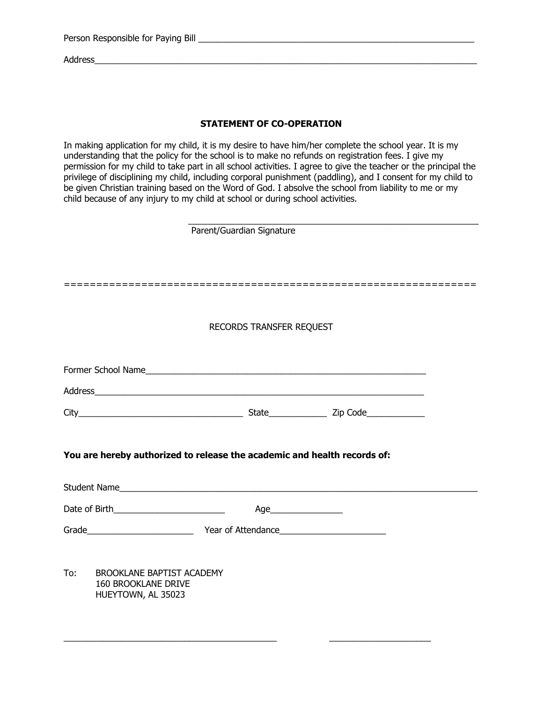Person Responsible for Paying Bill \_\_\_\_\_\_\_\_\_\_\_\_\_\_\_\_\_\_\_\_\_\_\_\_\_\_\_\_\_\_\_\_\_\_\_\_\_\_\_\_\_\_\_\_\_\_\_\_\_\_\_\_\_\_\_\_\_

Address\_\_\_\_\_\_\_\_\_\_\_\_\_\_\_\_\_\_\_\_\_\_\_\_\_\_\_\_\_\_\_\_\_\_\_\_\_\_\_\_\_\_\_\_\_\_\_\_\_\_\_\_\_\_\_\_\_\_\_\_\_\_\_\_\_\_\_\_\_\_\_\_\_\_\_\_\_\_\_

## **STATEMENT OF CO-OPERATION**

In making application for my child, it is my desire to have him/her complete the school year. It is my understanding that the policy for the school is to make no refunds on registration fees. I give my permission for my child to take part in all school activities. I agree to give the teacher or the principal the privilege of disciplining my child, including corporal punishment (paddling), and I consent for my child to be given Christian training based on the Word of God. I absolve the school from liability to me or my child because of any injury to my child at school or during school activities.

| Parent/Guardian Signature |                                  |                                                                          |  |  |
|---------------------------|----------------------------------|--------------------------------------------------------------------------|--|--|
|                           |                                  |                                                                          |  |  |
|                           |                                  |                                                                          |  |  |
|                           |                                  |                                                                          |  |  |
|                           |                                  |                                                                          |  |  |
|                           |                                  |                                                                          |  |  |
|                           |                                  |                                                                          |  |  |
|                           |                                  | RECORDS TRANSFER REQUEST                                                 |  |  |
|                           |                                  |                                                                          |  |  |
|                           |                                  |                                                                          |  |  |
|                           |                                  |                                                                          |  |  |
|                           |                                  |                                                                          |  |  |
|                           |                                  |                                                                          |  |  |
|                           |                                  |                                                                          |  |  |
|                           |                                  |                                                                          |  |  |
|                           |                                  | You are hereby authorized to release the academic and health records of: |  |  |
|                           |                                  |                                                                          |  |  |
|                           |                                  |                                                                          |  |  |
|                           |                                  |                                                                          |  |  |
|                           |                                  |                                                                          |  |  |
|                           |                                  |                                                                          |  |  |
|                           |                                  |                                                                          |  |  |
|                           |                                  |                                                                          |  |  |
| To:                       | <b>BROOKLANE BAPTIST ACADEMY</b> |                                                                          |  |  |
|                           | <b>160 BROOKLANE DRIVE</b>       |                                                                          |  |  |
|                           | HUEYTOWN, AL 35023               |                                                                          |  |  |
|                           |                                  |                                                                          |  |  |

 $\_$  , and the set of the set of the set of the set of the set of the set of the set of the set of the set of the set of the set of the set of the set of the set of the set of the set of the set of the set of the set of th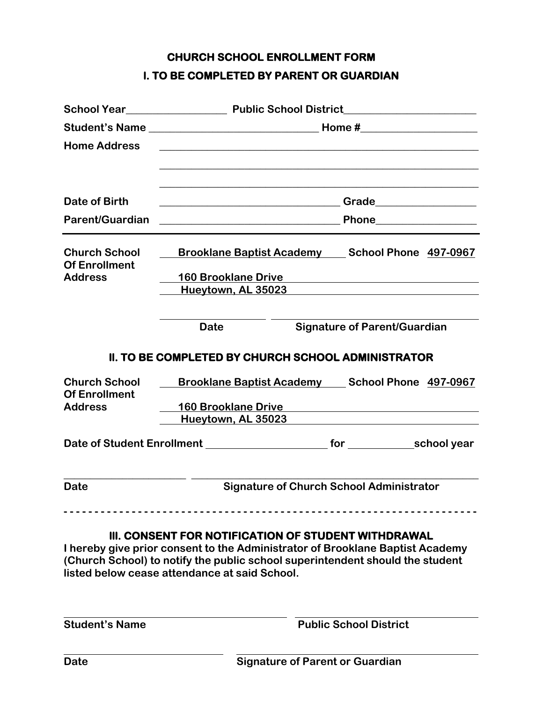## **CHURCH SCHOOL ENROLLMENT FORM l. TO BE COMPLETED BY PARENT OR GUARDIAN**

|                                              |                                                                                                                                                                                                                                                                        | <u> 1980 - Jan Stein Stein Stein Stein Stein Stein Stein Stein Stein Stein Stein Stein Stein Stein Stein Stein S</u> |  |  |
|----------------------------------------------|------------------------------------------------------------------------------------------------------------------------------------------------------------------------------------------------------------------------------------------------------------------------|----------------------------------------------------------------------------------------------------------------------|--|--|
|                                              |                                                                                                                                                                                                                                                                        |                                                                                                                      |  |  |
| <b>Home Address</b>                          |                                                                                                                                                                                                                                                                        |                                                                                                                      |  |  |
|                                              |                                                                                                                                                                                                                                                                        |                                                                                                                      |  |  |
| Date of Birth                                | <u> 1989 - Johann Barbert, mars andrew Maria al III (b. 1918)</u>                                                                                                                                                                                                      |                                                                                                                      |  |  |
| Parent/Guardian                              |                                                                                                                                                                                                                                                                        |                                                                                                                      |  |  |
| <b>Church School</b><br><b>Of Enrollment</b> | <b>Brooklane Baptist Academy School Phone 497-0967</b>                                                                                                                                                                                                                 |                                                                                                                      |  |  |
| <b>Address</b>                               | <b>160 Brooklane Drive</b>                                                                                                                                                                                                                                             |                                                                                                                      |  |  |
|                                              | <b>Hueytown, AL 35023 Example 20</b>                                                                                                                                                                                                                                   |                                                                                                                      |  |  |
|                                              |                                                                                                                                                                                                                                                                        |                                                                                                                      |  |  |
|                                              | <b>Date</b>                                                                                                                                                                                                                                                            | <b>Signature of Parent/Guardian</b>                                                                                  |  |  |
|                                              | <b>II. TO BE COMPLETED BY CHURCH SCHOOL ADMINISTRATOR</b>                                                                                                                                                                                                              |                                                                                                                      |  |  |
| <b>Church School</b><br><b>Of Enrollment</b> | <b>Brooklane Baptist Academy</b> School Phone 497-0967                                                                                                                                                                                                                 |                                                                                                                      |  |  |
| <b>Address</b>                               |                                                                                                                                                                                                                                                                        |                                                                                                                      |  |  |
|                                              | Hueytown, AL 35023 November 2014                                                                                                                                                                                                                                       |                                                                                                                      |  |  |
|                                              |                                                                                                                                                                                                                                                                        |                                                                                                                      |  |  |
| <b>Date</b>                                  |                                                                                                                                                                                                                                                                        | <b>Signature of Church School Administrator</b>                                                                      |  |  |
|                                              | III. CONSENT FOR NOTIFICATION OF STUDENT WITHDRAWAL<br>I hereby give prior consent to the Administrator of Brooklane Baptist Academy<br>(Church School) to notify the public school superintendent should the student<br>listed below cease attendance at said School. |                                                                                                                      |  |  |

**Student's Name** 

**Public School District**